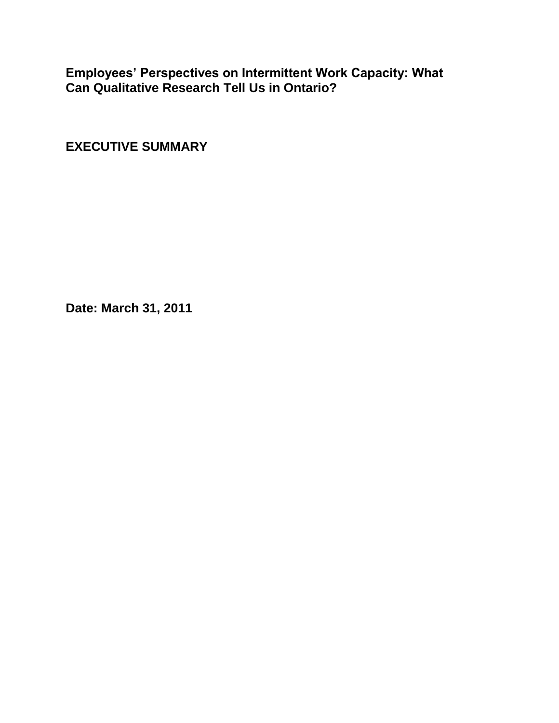**Employees' Perspectives on Intermittent Work Capacity: What Can Qualitative Research Tell Us in Ontario?**

**EXECUTIVE SUMMARY**

**Date: March 31, 2011**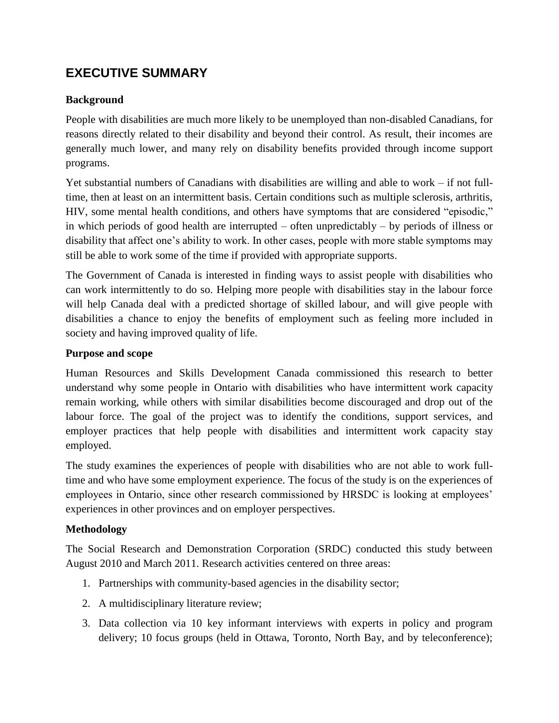# **EXECUTIVE SUMMARY**

# **Background**

People with disabilities are much more likely to be unemployed than non-disabled Canadians, for reasons directly related to their disability and beyond their control. As result, their incomes are generally much lower, and many rely on disability benefits provided through income support programs.

Yet substantial numbers of Canadians with disabilities are willing and able to work – if not fulltime, then at least on an intermittent basis. Certain conditions such as multiple sclerosis, arthritis, HIV, some mental health conditions, and others have symptoms that are considered "episodic," in which periods of good health are interrupted – often unpredictably – by periods of illness or disability that affect one's ability to work. In other cases, people with more stable symptoms may still be able to work some of the time if provided with appropriate supports.

The Government of Canada is interested in finding ways to assist people with disabilities who can work intermittently to do so. Helping more people with disabilities stay in the labour force will help Canada deal with a predicted shortage of skilled labour, and will give people with disabilities a chance to enjoy the benefits of employment such as feeling more included in society and having improved quality of life.

### **Purpose and scope**

Human Resources and Skills Development Canada commissioned this research to better understand why some people in Ontario with disabilities who have intermittent work capacity remain working, while others with similar disabilities become discouraged and drop out of the labour force. The goal of the project was to identify the conditions, support services, and employer practices that help people with disabilities and intermittent work capacity stay employed.

The study examines the experiences of people with disabilities who are not able to work fulltime and who have some employment experience. The focus of the study is on the experiences of employees in Ontario, since other research commissioned by HRSDC is looking at employees' experiences in other provinces and on employer perspectives.

### **Methodology**

The Social Research and Demonstration Corporation (SRDC) conducted this study between August 2010 and March 2011. Research activities centered on three areas:

- 1. Partnerships with community-based agencies in the disability sector;
- 2. A multidisciplinary literature review;
- 3. Data collection via 10 key informant interviews with experts in policy and program delivery; 10 focus groups (held in Ottawa, Toronto, North Bay, and by teleconference);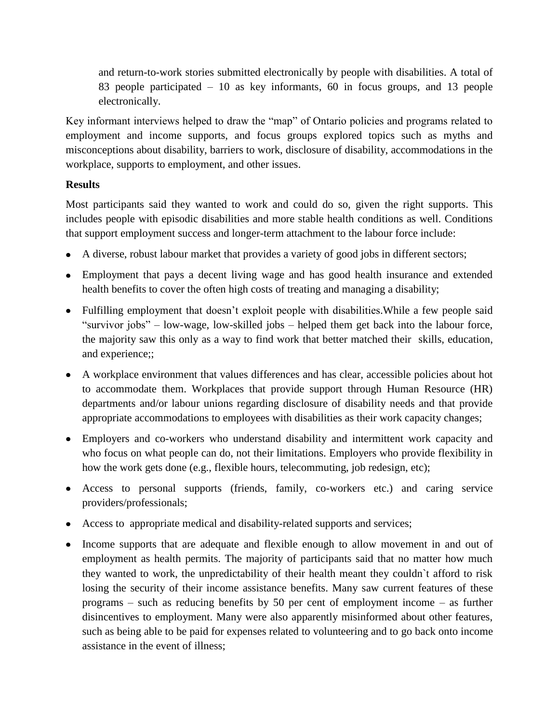and return-to-work stories submitted electronically by people with disabilities. A total of 83 people participated – 10 as key informants, 60 in focus groups, and 13 people electronically.

Key informant interviews helped to draw the "map" of Ontario policies and programs related to employment and income supports, and focus groups explored topics such as myths and misconceptions about disability, barriers to work, disclosure of disability, accommodations in the workplace, supports to employment, and other issues.

# **Results**

Most participants said they wanted to work and could do so, given the right supports. This includes people with episodic disabilities and more stable health conditions as well. Conditions that support employment success and longer-term attachment to the labour force include:

- A diverse, robust labour market that provides a variety of good jobs in different sectors;
- Employment that pays a decent living wage and has good health insurance and extended health benefits to cover the often high costs of treating and managing a disability;
- Fulfilling employment that doesn't exploit people with disabilities.While a few people said "survivor jobs" – low-wage, low-skilled jobs – helped them get back into the labour force, the majority saw this only as a way to find work that better matched their skills, education, and experience;;
- A workplace environment that values differences and has clear, accessible policies about hot to accommodate them. Workplaces that provide support through Human Resource (HR) departments and/or labour unions regarding disclosure of disability needs and that provide appropriate accommodations to employees with disabilities as their work capacity changes;
- Employers and co-workers who understand disability and intermittent work capacity and who focus on what people can do, not their limitations. Employers who provide flexibility in how the work gets done (e.g., flexible hours, telecommuting, job redesign, etc);
- Access to personal supports (friends, family, co-workers etc.) and caring service providers/professionals;
- Access to appropriate medical and disability-related supports and services;
- Income supports that are adequate and flexible enough to allow movement in and out of employment as health permits. The majority of participants said that no matter how much they wanted to work, the unpredictability of their health meant they couldn`t afford to risk losing the security of their income assistance benefits. Many saw current features of these programs – such as reducing benefits by 50 per cent of employment income – as further disincentives to employment. Many were also apparently misinformed about other features, such as being able to be paid for expenses related to volunteering and to go back onto income assistance in the event of illness;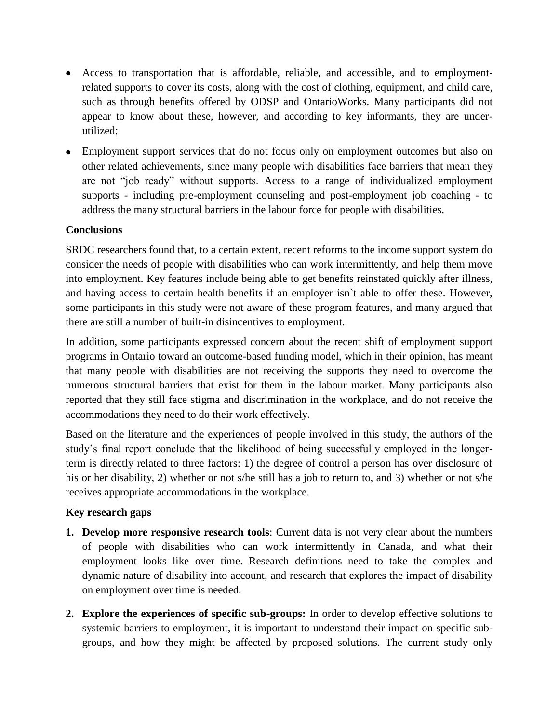- Access to transportation that is affordable, reliable, and accessible, and to employmentrelated supports to cover its costs, along with the cost of clothing, equipment, and child care, such as through benefits offered by ODSP and OntarioWorks. Many participants did not appear to know about these, however, and according to key informants, they are underutilized;
- Employment support services that do not focus only on employment outcomes but also on other related achievements, since many people with disabilities face barriers that mean they are not "job ready" without supports. Access to a range of individualized employment supports - including pre-employment counseling and post-employment job coaching - to address the many structural barriers in the labour force for people with disabilities.

### **Conclusions**

SRDC researchers found that, to a certain extent, recent reforms to the income support system do consider the needs of people with disabilities who can work intermittently, and help them move into employment. Key features include being able to get benefits reinstated quickly after illness, and having access to certain health benefits if an employer isn`t able to offer these. However, some participants in this study were not aware of these program features, and many argued that there are still a number of built-in disincentives to employment.

In addition, some participants expressed concern about the recent shift of employment support programs in Ontario toward an outcome-based funding model, which in their opinion, has meant that many people with disabilities are not receiving the supports they need to overcome the numerous structural barriers that exist for them in the labour market. Many participants also reported that they still face stigma and discrimination in the workplace, and do not receive the accommodations they need to do their work effectively.

Based on the literature and the experiences of people involved in this study, the authors of the study's final report conclude that the likelihood of being successfully employed in the longerterm is directly related to three factors: 1) the degree of control a person has over disclosure of his or her disability, 2) whether or not s/he still has a job to return to, and 3) whether or not s/he receives appropriate accommodations in the workplace.

#### **Key research gaps**

- **1. Develop more responsive research tools**: Current data is not very clear about the numbers of people with disabilities who can work intermittently in Canada, and what their employment looks like over time. Research definitions need to take the complex and dynamic nature of disability into account, and research that explores the impact of disability on employment over time is needed.
- **2. Explore the experiences of specific sub-groups:** In order to develop effective solutions to systemic barriers to employment, it is important to understand their impact on specific subgroups, and how they might be affected by proposed solutions. The current study only